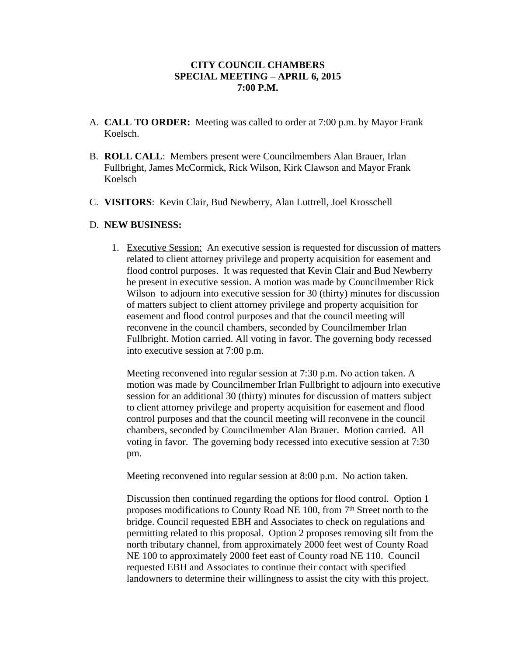## **CITY COUNCIL CHAMBERS SPECIAL MEETING – APRIL 6, 2015 7:00 P.M.**

- A. **CALL TO ORDER:** Meeting was called to order at 7:00 p.m. by Mayor Frank Koelsch.
- B. **ROLL CALL**: Members present were Councilmembers Alan Brauer, Irlan Fullbright, James McCormick, Rick Wilson, Kirk Clawson and Mayor Frank Koelsch
- C. **VISITORS**: Kevin Clair, Bud Newberry, Alan Luttrell, Joel Krosschell

## D. **NEW BUSINESS:**

1. Executive Session: An executive session is requested for discussion of matters related to client attorney privilege and property acquisition for easement and flood control purposes. It was requested that Kevin Clair and Bud Newberry be present in executive session. A motion was made by Councilmember Rick Wilson to adjourn into executive session for 30 (thirty) minutes for discussion of matters subject to client attorney privilege and property acquisition for easement and flood control purposes and that the council meeting will reconvene in the council chambers, seconded by Councilmember Irlan Fullbright. Motion carried. All voting in favor. The governing body recessed into executive session at 7:00 p.m.

Meeting reconvened into regular session at 7:30 p.m. No action taken. A motion was made by Councilmember Irlan Fullbright to adjourn into executive session for an additional 30 (thirty) minutes for discussion of matters subject to client attorney privilege and property acquisition for easement and flood control purposes and that the council meeting will reconvene in the council chambers, seconded by Councilmember Alan Brauer. Motion carried. All voting in favor. The governing body recessed into executive session at 7:30 pm.

Meeting reconvened into regular session at 8:00 p.m. No action taken.

Discussion then continued regarding the options for flood control. Option 1 proposes modifications to County Road NE 100, from 7<sup>th</sup> Street north to the bridge. Council requested EBH and Associates to check on regulations and permitting related to this proposal. Option 2 proposes removing silt from the north tributary channel, from approximately 2000 feet west of County Road NE 100 to approximately 2000 feet east of County road NE 110. Council requested EBH and Associates to continue their contact with specified landowners to determine their willingness to assist the city with this project.